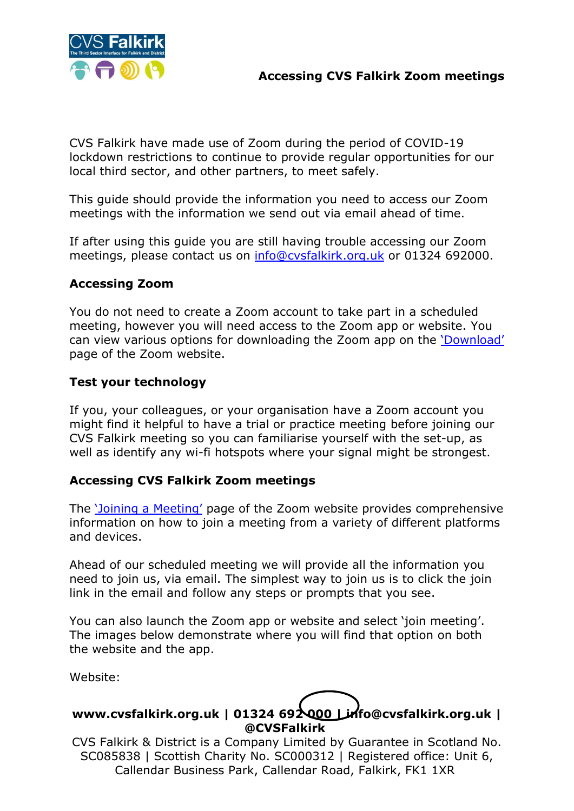

CVS Falkirk have made use of Zoom during the period of COVID-19 lockdown restrictions to continue to provide regular opportunities for our local third sector, and other partners, to meet safely.

This guide should provide the information you need to access our Zoom meetings with the information we send out via email ahead of time.

If after using this guide you are still having trouble accessing our Zoom meetings, please contact us on [info@cvsfalkirk.org.uk](mailto:info@cvsfalkirk.org.uk) or 01324 692000.

### **Accessing Zoom**

You do not need to create a Zoom account to take part in a scheduled meeting, however you will need access to the Zoom app or website. You can view various options for downloading the Zoom app on the ['Download'](https://zoom.us/download) page of the Zoom website.

# **Test your technology**

If you, your colleagues, or your organisation have a Zoom account you might find it helpful to have a trial or practice meeting before joining our CVS Falkirk meeting so you can familiarise yourself with the set-up, as well as identify any wi-fi hotspots where your signal might be strongest.

# **Accessing CVS Falkirk Zoom meetings**

The ['Joining a Meeting'](https://support.zoom.us/hc/en-us/articles/201362193) page of the Zoom website provides comprehensive information on how to join a meeting from a variety of different platforms and devices.

Ahead of our scheduled meeting we will provide all the information you need to join us, via email. The simplest way to join us is to click the join link in the email and follow any steps or prompts that you see.

You can also launch the Zoom app or website and select 'join meeting'. The images below demonstrate where you will find that option on both the website and the app.

Website:

# **www.cvsfalkirk.org.uk | 01324 692 000 | info@cvsfalkirk.org.uk | @CVSFalkirk**

CVS Falkirk & District is a Company Limited by Guarantee in Scotland No. SC085838 | Scottish Charity No. SC000312 | Registered office: Unit 6, Callendar Business Park, Callendar Road, Falkirk, FK1 1XR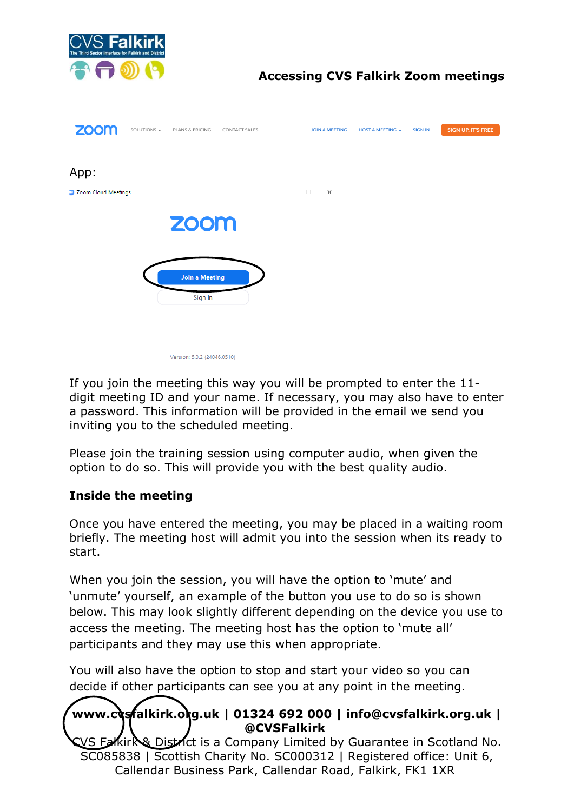

# **Accessing CVS Falkirk Zoom meetings**



If you join the meeting this way you will be prompted to enter the 11 digit meeting ID and your name. If necessary, you may also have to enter a password. This information will be provided in the email we send you inviting you to the scheduled meeting.

Please join the training session using computer audio, when given the option to do so. This will provide you with the best quality audio.

#### **Inside the meeting**

Once you have entered the meeting, you may be placed in a waiting room briefly. The meeting host will admit you into the session when its ready to start.

When you join the session, you will have the option to 'mute' and 'unmute' yourself, an example of the button you use to do so is shown below. This may look slightly different depending on the device you use to access the meeting. The meeting host has the option to 'mute all' participants and they may use this when appropriate.

You will also have the option to stop and start your video so you can decide if other participants can see you at any point in the meeting.

# **www.cvsfalkirk.org.uk | 01324 692 000 | info@cvsfalkirk.org.uk | @CVSFalkirk**

/S Falkirk District is a Company Limited by Guarantee in Scotland No. SC085838 | Scottish Charity No. SC000312 | Registered office: Unit 6, Callendar Business Park, Callendar Road, Falkirk, FK1 1XR